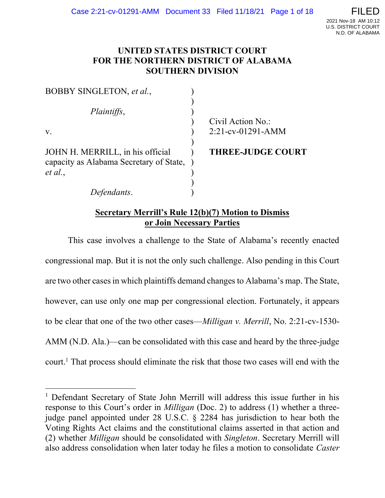## UNITED STATES DISTRICT COURT FOR THE NORTHERN DISTRICT OF ALABAMA SOUTHERN DIVISION

| BOBBY SINGLETON, et al.,                                                      |                          |
|-------------------------------------------------------------------------------|--------------------------|
| Plaintiffs,                                                                   |                          |
|                                                                               | Civil Action No.:        |
| V.                                                                            | $2:21$ -cv-01291-AMM     |
| JOHN H. MERRILL, in his official<br>capacity as Alabama Secretary of State, ) | <b>THREE-JUDGE COURT</b> |
| et al.,                                                                       |                          |
|                                                                               |                          |
| Defendants.                                                                   |                          |

## Secretary Merrill's Rule 12(b)(7) Motion to Dismiss or Join Necessary Parties

This case involves a challenge to the State of Alabama's recently enacted congressional map. But it is not the only such challenge. Also pending in this Court are two other cases in which plaintiffs demand changes to Alabama's map. The State, however, can use only one map per congressional election. Fortunately, it appears to be clear that one of the two other cases—Milligan v. Merrill, No. 2:21-cv-1530- AMM (N.D. Ala.)—can be consolidated with this case and heard by the three-judge court.<sup>1</sup> That process should eliminate the risk that those two cases will end with the

<sup>&</sup>lt;sup>1</sup> Defendant Secretary of State John Merrill will address this issue further in his response to this Court's order in Milligan (Doc. 2) to address (1) whether a threejudge panel appointed under 28 U.S.C. § 2284 has jurisdiction to hear both the Voting Rights Act claims and the constitutional claims asserted in that action and (2) whether Milligan should be consolidated with Singleton. Secretary Merrill will also address consolidation when later today he files a motion to consolidate Caster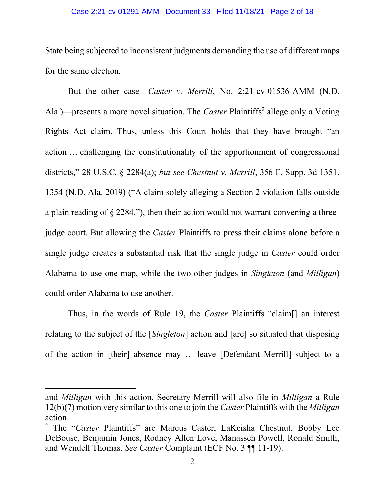### Case 2:21-cv-01291-AMM Document 33 Filed 11/18/21 Page 2 of 18

State being subjected to inconsistent judgments demanding the use of different maps for the same election.

But the other case—Caster v. Merrill, No. 2:21-cv-01536-AMM (N.D. Ala.)—presents a more novel situation. The *Caster* Plaintiffs<sup>2</sup> allege only a Voting Rights Act claim. Thus, unless this Court holds that they have brought "an action … challenging the constitutionality of the apportionment of congressional districts," 28 U.S.C. § 2284(a); but see Chestnut v. Merrill, 356 F. Supp. 3d 1351, 1354 (N.D. Ala. 2019) ("A claim solely alleging a Section 2 violation falls outside a plain reading of § 2284."), then their action would not warrant convening a threejudge court. But allowing the *Caster* Plaintiffs to press their claims alone before a single judge creates a substantial risk that the single judge in *Caster* could order Alabama to use one map, while the two other judges in Singleton (and Milligan) could order Alabama to use another.

Thus, in the words of Rule 19, the Caster Plaintiffs "claim[] an interest relating to the subject of the [Singleton] action and [are] so situated that disposing of the action in [their] absence may … leave [Defendant Merrill] subject to a

and Milligan with this action. Secretary Merrill will also file in Milligan a Rule  $12(b)(7)$  motion very similar to this one to join the *Caster* Plaintiffs with the *Milligan* action.

<sup>&</sup>lt;sup>2</sup> The "Caster Plaintiffs" are Marcus Caster, LaKeisha Chestnut, Bobby Lee DeBouse, Benjamin Jones, Rodney Allen Love, Manasseh Powell, Ronald Smith, and Wendell Thomas. See Caster Complaint (ECF No. 3 ¶¶ 11-19).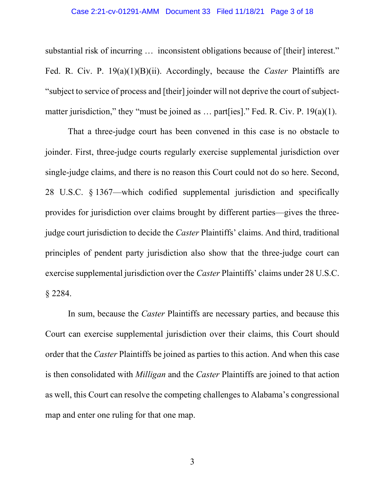### Case 2:21-cv-01291-AMM Document 33 Filed 11/18/21 Page 3 of 18

substantial risk of incurring … inconsistent obligations because of [their] interest." Fed. R. Civ. P.  $19(a)(1)(B)(ii)$ . Accordingly, because the *Caster* Plaintiffs are "subject to service of process and [their] joinder will not deprive the court of subjectmatter jurisdiction," they "must be joined as ... part [ies]." Fed. R. Civ. P. 19(a)(1).

That a three-judge court has been convened in this case is no obstacle to joinder. First, three-judge courts regularly exercise supplemental jurisdiction over single-judge claims, and there is no reason this Court could not do so here. Second, 28 U.S.C. § 1367—which codified supplemental jurisdiction and specifically provides for jurisdiction over claims brought by different parties—gives the threejudge court jurisdiction to decide the *Caster* Plaintiffs' claims. And third, traditional principles of pendent party jurisdiction also show that the three-judge court can exercise supplemental jurisdiction over the Caster Plaintiffs' claims under 28 U.S.C. § 2284.

In sum, because the Caster Plaintiffs are necessary parties, and because this Court can exercise supplemental jurisdiction over their claims, this Court should order that the Caster Plaintiffs be joined as parties to this action. And when this case is then consolidated with Milligan and the Caster Plaintiffs are joined to that action as well, this Court can resolve the competing challenges to Alabama's congressional map and enter one ruling for that one map.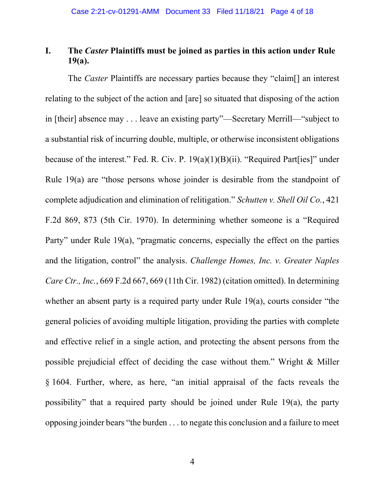# I. The Caster Plaintiffs must be joined as parties in this action under Rule 19(a).

The Caster Plaintiffs are necessary parties because they "claim[] an interest relating to the subject of the action and [are] so situated that disposing of the action in [their] absence may . . . leave an existing party"—Secretary Merrill—"subject to a substantial risk of incurring double, multiple, or otherwise inconsistent obligations because of the interest." Fed. R. Civ. P. 19(a)(1)(B)(ii). "Required Part[ies]" under Rule 19(a) are "those persons whose joinder is desirable from the standpoint of complete adjudication and elimination of relitigation." Schutten v. Shell Oil Co., 421 F.2d 869, 873 (5th Cir. 1970). In determining whether someone is a "Required Party" under Rule 19(a), "pragmatic concerns, especially the effect on the parties and the litigation, control" the analysis. Challenge Homes, Inc. v. Greater Naples Care Ctr., Inc., 669 F.2d 667, 669 (11th Cir. 1982) (citation omitted). In determining whether an absent party is a required party under Rule 19(a), courts consider "the general policies of avoiding multiple litigation, providing the parties with complete and effective relief in a single action, and protecting the absent persons from the possible prejudicial effect of deciding the case without them." Wright & Miller § 1604. Further, where, as here, "an initial appraisal of the facts reveals the possibility" that a required party should be joined under Rule 19(a), the party opposing joinder bears "the burden . . . to negate this conclusion and a failure to meet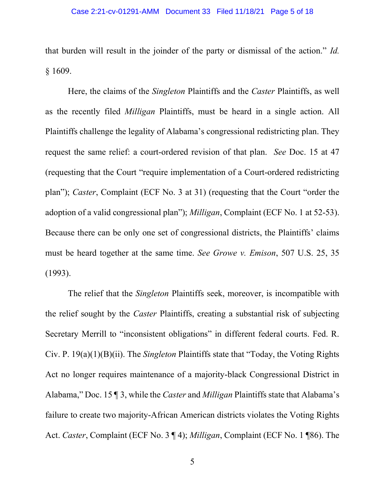that burden will result in the joinder of the party or dismissal of the action." Id. § 1609.

Here, the claims of the Singleton Plaintiffs and the Caster Plaintiffs, as well as the recently filed Milligan Plaintiffs, must be heard in a single action. All Plaintiffs challenge the legality of Alabama's congressional redistricting plan. They request the same relief: a court-ordered revision of that plan. See Doc. 15 at 47 (requesting that the Court "require implementation of a Court-ordered redistricting plan"); Caster, Complaint (ECF No. 3 at 31) (requesting that the Court "order the adoption of a valid congressional plan"); Milligan, Complaint (ECF No. 1 at 52-53). Because there can be only one set of congressional districts, the Plaintiffs' claims must be heard together at the same time. See Growe v. Emison, 507 U.S. 25, 35 (1993).

The relief that the Singleton Plaintiffs seek, moreover, is incompatible with the relief sought by the Caster Plaintiffs, creating a substantial risk of subjecting Secretary Merrill to "inconsistent obligations" in different federal courts. Fed. R. Civ. P. 19(a)(1)(B)(ii). The Singleton Plaintiffs state that "Today, the Voting Rights Act no longer requires maintenance of a majority-black Congressional District in Alabama," Doc. 15 ¶ 3, while the *Caster* and *Milligan* Plaintiffs state that Alabama's failure to create two majority-African American districts violates the Voting Rights Act. Caster, Complaint (ECF No. 3 ¶ 4); Milligan, Complaint (ECF No. 1 ¶86). The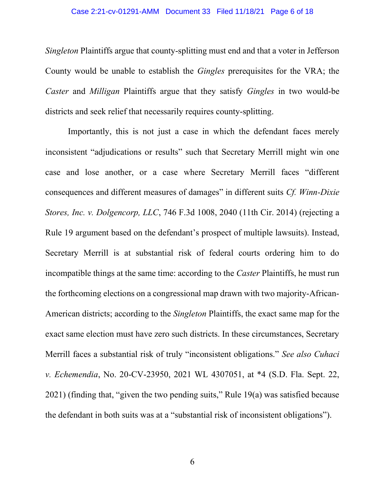### Case 2:21-cv-01291-AMM Document 33 Filed 11/18/21 Page 6 of 18

Singleton Plaintiffs argue that county-splitting must end and that a voter in Jefferson County would be unable to establish the Gingles prerequisites for the VRA; the Caster and Milligan Plaintiffs argue that they satisfy Gingles in two would-be districts and seek relief that necessarily requires county-splitting.

Importantly, this is not just a case in which the defendant faces merely inconsistent "adjudications or results" such that Secretary Merrill might win one case and lose another, or a case where Secretary Merrill faces "different consequences and different measures of damages" in different suits Cf. Winn-Dixie Stores, Inc. v. Dolgencorp, LLC, 746 F.3d 1008, 2040 (11th Cir. 2014) (rejecting a Rule 19 argument based on the defendant's prospect of multiple lawsuits). Instead, Secretary Merrill is at substantial risk of federal courts ordering him to do incompatible things at the same time: according to the *Caster* Plaintiffs, he must run the forthcoming elections on a congressional map drawn with two majority-African-American districts; according to the Singleton Plaintiffs, the exact same map for the exact same election must have zero such districts. In these circumstances, Secretary Merrill faces a substantial risk of truly "inconsistent obligations." See also Cuhaci v. Echemendia, No. 20-CV-23950, 2021 WL 4307051, at \*4 (S.D. Fla. Sept. 22, 2021) (finding that, "given the two pending suits," Rule 19(a) was satisfied because the defendant in both suits was at a "substantial risk of inconsistent obligations").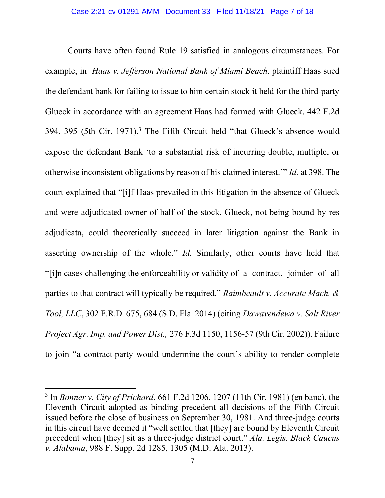Courts have often found Rule 19 satisfied in analogous circumstances. For example, in Haas v. Jefferson National Bank of Miami Beach, plaintiff Haas sued the defendant bank for failing to issue to him certain stock it held for the third-party Glueck in accordance with an agreement Haas had formed with Glueck. 442 F.2d 394, 395 (5th Cir. 1971).<sup>3</sup> The Fifth Circuit held "that Glueck's absence would expose the defendant Bank 'to a substantial risk of incurring double, multiple, or otherwise inconsistent obligations by reason of his claimed interest.'" Id. at 398. The court explained that "[i]f Haas prevailed in this litigation in the absence of Glueck and were adjudicated owner of half of the stock, Glueck, not being bound by res adjudicata, could theoretically succeed in later litigation against the Bank in asserting ownership of the whole." Id. Similarly, other courts have held that "[i]n cases challenging the enforceability or validity of a contract, joinder of all parties to that contract will typically be required." Raimbeault v. Accurate Mach. & Tool, LLC, 302 F.R.D. 675, 684 (S.D. Fla. 2014) (citing Dawavendewa v. Salt River Project Agr. Imp. and Power Dist., 276 F.3d 1150, 1156-57 (9th Cir. 2002)). Failure to join "a contract-party would undermine the court's ability to render complete

<sup>&</sup>lt;sup>3</sup> In *Bonner v. City of Prichard*, 661 F.2d 1206, 1207 (11th Cir. 1981) (en banc), the Eleventh Circuit adopted as binding precedent all decisions of the Fifth Circuit issued before the close of business on September 30, 1981. And three-judge courts in this circuit have deemed it "well settled that [they] are bound by Eleventh Circuit precedent when [they] sit as a three-judge district court." Ala. Legis. Black Caucus v. Alabama, 988 F. Supp. 2d 1285, 1305 (M.D. Ala. 2013).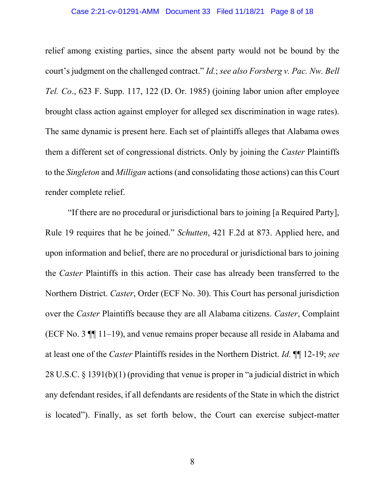### Case 2:21-cv-01291-AMM Document 33 Filed 11/18/21 Page 8 of 18

relief among existing parties, since the absent party would not be bound by the court's judgment on the challenged contract." Id.; see also Forsberg v. Pac. Nw. Bell Tel. Co., 623 F. Supp. 117, 122 (D. Or. 1985) (joining labor union after employee brought class action against employer for alleged sex discrimination in wage rates). The same dynamic is present here. Each set of plaintiffs alleges that Alabama owes them a different set of congressional districts. Only by joining the Caster Plaintiffs to the Singleton and Milligan actions (and consolidating those actions) can this Court render complete relief.

"If there are no procedural or jurisdictional bars to joining [a Required Party], Rule 19 requires that he be joined." Schutten, 421 F.2d at 873. Applied here, and upon information and belief, there are no procedural or jurisdictional bars to joining the Caster Plaintiffs in this action. Their case has already been transferred to the Northern District. Caster, Order (ECF No. 30). This Court has personal jurisdiction over the Caster Plaintiffs because they are all Alabama citizens. Caster, Complaint (ECF No. 3 ¶¶ 11–19), and venue remains proper because all reside in Alabama and at least one of the Caster Plaintiffs resides in the Northern District. Id. ¶¶ 12-19; see 28 U.S.C. § 1391(b)(1) (providing that venue is proper in "a judicial district in which any defendant resides, if all defendants are residents of the State in which the district is located"). Finally, as set forth below, the Court can exercise subject-matter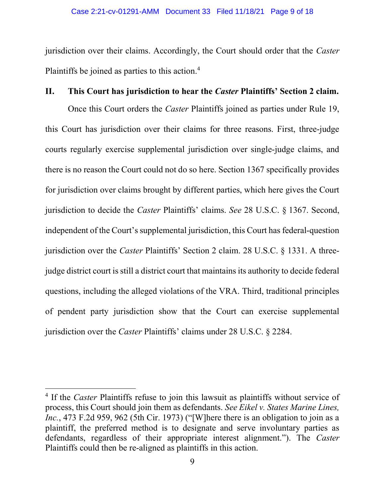jurisdiction over their claims. Accordingly, the Court should order that the Caster Plaintiffs be joined as parties to this action.<sup>4</sup>

### II. This Court has jurisdiction to hear the Caster Plaintiffs' Section 2 claim.

Once this Court orders the Caster Plaintiffs joined as parties under Rule 19, this Court has jurisdiction over their claims for three reasons. First, three-judge courts regularly exercise supplemental jurisdiction over single-judge claims, and there is no reason the Court could not do so here. Section 1367 specifically provides for jurisdiction over claims brought by different parties, which here gives the Court jurisdiction to decide the Caster Plaintiffs' claims. See 28 U.S.C. § 1367. Second, independent of the Court's supplemental jurisdiction, this Court has federal-question jurisdiction over the Caster Plaintiffs' Section 2 claim. 28 U.S.C. § 1331. A threejudge district court is still a district court that maintains its authority to decide federal questions, including the alleged violations of the VRA. Third, traditional principles of pendent party jurisdiction show that the Court can exercise supplemental jurisdiction over the Caster Plaintiffs' claims under 28 U.S.C. § 2284.

<sup>&</sup>lt;sup>4</sup> If the Caster Plaintiffs refuse to join this lawsuit as plaintiffs without service of process, this Court should join them as defendants. See Eikel v. States Marine Lines, Inc., 473 F.2d 959, 962 (5th Cir. 1973) ("[W]here there is an obligation to join as a plaintiff, the preferred method is to designate and serve involuntary parties as defendants, regardless of their appropriate interest alignment."). The Caster Plaintiffs could then be re-aligned as plaintiffs in this action.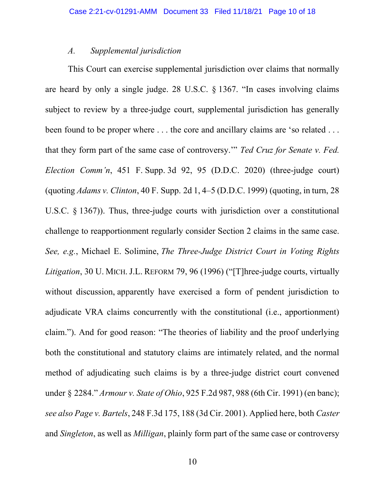### A. Supplemental jurisdiction

This Court can exercise supplemental jurisdiction over claims that normally are heard by only a single judge. 28 U.S.C. § 1367. "In cases involving claims subject to review by a three-judge court, supplemental jurisdiction has generally been found to be proper where . . . the core and ancillary claims are 'so related . . . that they form part of the same case of controversy." Ted Cruz for Senate v. Fed. Election Comm'n, 451 F. Supp. 3d 92, 95 (D.D.C. 2020) (three-judge court) (quoting Adams v. Clinton, 40 F. Supp. 2d 1, 4–5 (D.D.C. 1999) (quoting, in turn, 28 U.S.C. § 1367)). Thus, three-judge courts with jurisdiction over a constitutional challenge to reapportionment regularly consider Section 2 claims in the same case. See, e.g., Michael E. Solimine, The Three-Judge District Court in Voting Rights Litigation, 30 U. MICH. J.L. REFORM 79, 96 (1996) ("[T]hree-judge courts, virtually without discussion, apparently have exercised a form of pendent jurisdiction to adjudicate VRA claims concurrently with the constitutional (i.e., apportionment) claim."). And for good reason: "The theories of liability and the proof underlying both the constitutional and statutory claims are intimately related, and the normal method of adjudicating such claims is by a three-judge district court convened under § 2284." *Armour v. State of Ohio*, 925 F.2d 987, 988 (6th Cir. 1991) (en banc); see also Page v. Bartels, 248 F.3d 175, 188 (3d Cir. 2001). Applied here, both Caster and Singleton, as well as Milligan, plainly form part of the same case or controversy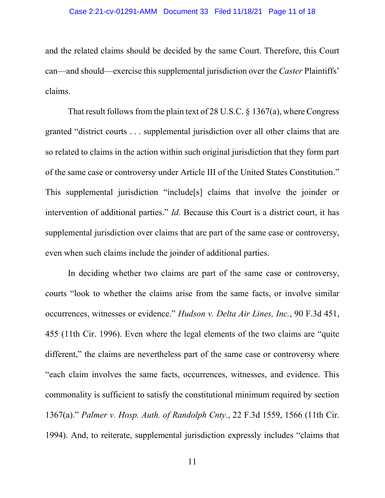and the related claims should be decided by the same Court. Therefore, this Court can—and should—exercise this supplemental jurisdiction over the Caster Plaintiffs' claims.

That result follows from the plain text of 28 U.S.C. § 1367(a), where Congress granted "district courts . . . supplemental jurisdiction over all other claims that are so related to claims in the action within such original jurisdiction that they form part of the same case or controversy under Article III of the United States Constitution." This supplemental jurisdiction "include[s] claims that involve the joinder or intervention of additional parties." *Id*. Because this Court is a district court, it has supplemental jurisdiction over claims that are part of the same case or controversy, even when such claims include the joinder of additional parties.

In deciding whether two claims are part of the same case or controversy, courts "look to whether the claims arise from the same facts, or involve similar occurrences, witnesses or evidence." Hudson v. Delta Air Lines, Inc., 90 F.3d 451, 455 (11th Cir. 1996). Even where the legal elements of the two claims are "quite different," the claims are nevertheless part of the same case or controversy where "each claim involves the same facts, occurrences, witnesses, and evidence. This commonality is sufficient to satisfy the constitutional minimum required by section 1367(a)." Palmer v. Hosp. Auth. of Randolph Cnty., 22 F.3d 1559, 1566 (11th Cir. 1994). And, to reiterate, supplemental jurisdiction expressly includes "claims that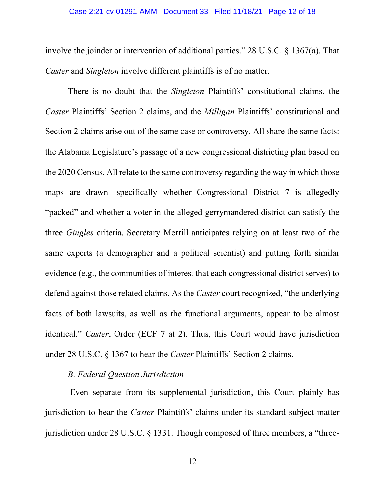### Case 2:21-cv-01291-AMM Document 33 Filed 11/18/21 Page 12 of 18

involve the joinder or intervention of additional parties." 28 U.S.C. § 1367(a). That Caster and Singleton involve different plaintiffs is of no matter.

There is no doubt that the *Singleton* Plaintiffs' constitutional claims, the Caster Plaintiffs' Section 2 claims, and the Milligan Plaintiffs' constitutional and Section 2 claims arise out of the same case or controversy. All share the same facts: the Alabama Legislature's passage of a new congressional districting plan based on the 2020 Census. All relate to the same controversy regarding the way in which those maps are drawn—specifically whether Congressional District 7 is allegedly "packed" and whether a voter in the alleged gerrymandered district can satisfy the three Gingles criteria. Secretary Merrill anticipates relying on at least two of the same experts (a demographer and a political scientist) and putting forth similar evidence (e.g., the communities of interest that each congressional district serves) to defend against those related claims. As the Caster court recognized, "the underlying facts of both lawsuits, as well as the functional arguments, appear to be almost identical." Caster, Order (ECF 7 at 2). Thus, this Court would have jurisdiction under 28 U.S.C. § 1367 to hear the Caster Plaintiffs' Section 2 claims.

### B. Federal Question Jurisdiction

 Even separate from its supplemental jurisdiction, this Court plainly has jurisdiction to hear the *Caster* Plaintiffs' claims under its standard subject-matter jurisdiction under 28 U.S.C. § 1331. Though composed of three members, a "three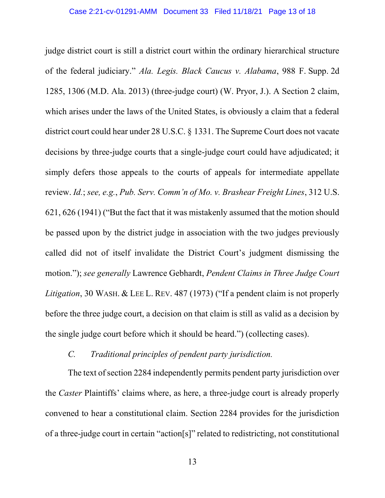judge district court is still a district court within the ordinary hierarchical structure of the federal judiciary." Ala. Legis. Black Caucus v. Alabama, 988 F. Supp. 2d 1285, 1306 (M.D. Ala. 2013) (three-judge court) (W. Pryor, J.). A Section 2 claim, which arises under the laws of the United States, is obviously a claim that a federal district court could hear under 28 U.S.C. § 1331. The Supreme Court does not vacate decisions by three-judge courts that a single-judge court could have adjudicated; it simply defers those appeals to the courts of appeals for intermediate appellate review. Id.; see, e.g., Pub. Serv. Comm'n of Mo. v. Brashear Freight Lines, 312 U.S. 621, 626 (1941) ("But the fact that it was mistakenly assumed that the motion should be passed upon by the district judge in association with the two judges previously called did not of itself invalidate the District Court's judgment dismissing the motion."); see generally Lawrence Gebhardt, Pendent Claims in Three Judge Court Litigation, 30 WASH. & LEE L. REV. 487 (1973) ("If a pendent claim is not properly before the three judge court, a decision on that claim is still as valid as a decision by the single judge court before which it should be heard.") (collecting cases).

## C. Traditional principles of pendent party jurisdiction.

The text of section 2284 independently permits pendent party jurisdiction over the Caster Plaintiffs' claims where, as here, a three-judge court is already properly convened to hear a constitutional claim. Section 2284 provides for the jurisdiction of a three-judge court in certain "action[s]" related to redistricting, not constitutional

13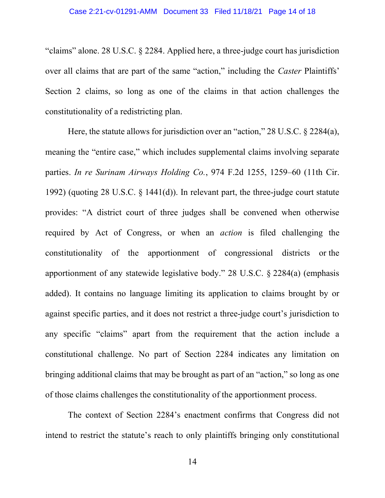"claims" alone. 28 U.S.C. § 2284. Applied here, a three-judge court has jurisdiction over all claims that are part of the same "action," including the *Caster Plaintiffs*' Section 2 claims, so long as one of the claims in that action challenges the constitutionality of a redistricting plan.

Here, the statute allows for jurisdiction over an "action," 28 U.S.C. § 2284(a), meaning the "entire case," which includes supplemental claims involving separate parties. In re Surinam Airways Holding Co., 974 F.2d 1255, 1259–60 (11th Cir. 1992) (quoting 28 U.S.C. § 1441(d)). In relevant part, the three-judge court statute provides: "A district court of three judges shall be convened when otherwise required by Act of Congress, or when an action is filed challenging the constitutionality of the apportionment of congressional districts or the apportionment of any statewide legislative body." 28 U.S.C. § 2284(a) (emphasis added). It contains no language limiting its application to claims brought by or against specific parties, and it does not restrict a three-judge court's jurisdiction to any specific "claims" apart from the requirement that the action include a constitutional challenge. No part of Section 2284 indicates any limitation on bringing additional claims that may be brought as part of an "action," so long as one of those claims challenges the constitutionality of the apportionment process.

The context of Section 2284's enactment confirms that Congress did not intend to restrict the statute's reach to only plaintiffs bringing only constitutional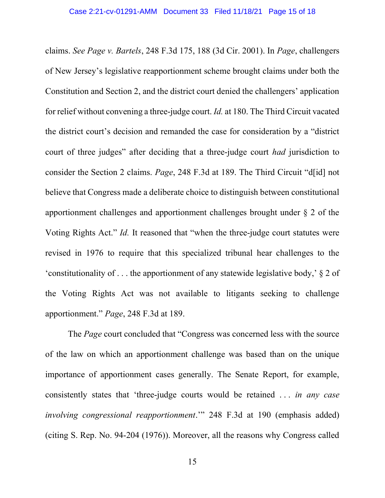claims. See Page v. Bartels, 248 F.3d 175, 188 (3d Cir. 2001). In Page, challengers of New Jersey's legislative reapportionment scheme brought claims under both the Constitution and Section 2, and the district court denied the challengers' application for relief without convening a three-judge court. Id. at 180. The Third Circuit vacated the district court's decision and remanded the case for consideration by a "district court of three judges" after deciding that a three-judge court *had* jurisdiction to consider the Section 2 claims. Page, 248 F.3d at 189. The Third Circuit "d[id] not believe that Congress made a deliberate choice to distinguish between constitutional apportionment challenges and apportionment challenges brought under § 2 of the Voting Rights Act." Id. It reasoned that "when the three-judge court statutes were revised in 1976 to require that this specialized tribunal hear challenges to the 'constitutionality of . . . the apportionment of any statewide legislative body,' § 2 of the Voting Rights Act was not available to litigants seeking to challenge apportionment." Page, 248 F.3d at 189.

The Page court concluded that "Congress was concerned less with the source of the law on which an apportionment challenge was based than on the unique importance of apportionment cases generally. The Senate Report, for example, consistently states that 'three-judge courts would be retained . . . in any case involving congressional reapportionment.'" 248 F.3d at 190 (emphasis added) (citing S. Rep. No. 94-204 (1976)). Moreover, all the reasons why Congress called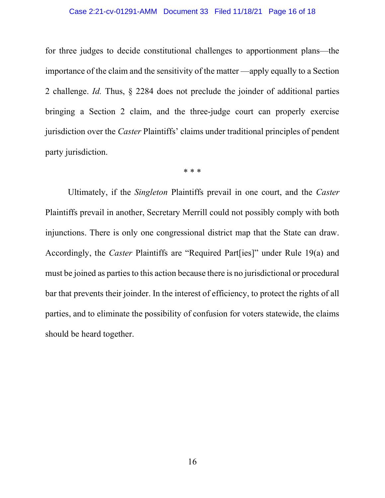### Case 2:21-cv-01291-AMM Document 33 Filed 11/18/21 Page 16 of 18

for three judges to decide constitutional challenges to apportionment plans—the importance of the claim and the sensitivity of the matter —apply equally to a Section 2 challenge. Id. Thus, § 2284 does not preclude the joinder of additional parties bringing a Section 2 claim, and the three-judge court can properly exercise jurisdiction over the Caster Plaintiffs' claims under traditional principles of pendent party jurisdiction.

\* \* \*

Ultimately, if the Singleton Plaintiffs prevail in one court, and the Caster Plaintiffs prevail in another, Secretary Merrill could not possibly comply with both injunctions. There is only one congressional district map that the State can draw. Accordingly, the Caster Plaintiffs are "Required Part[ies]" under Rule 19(a) and must be joined as parties to this action because there is no jurisdictional or procedural bar that prevents their joinder. In the interest of efficiency, to protect the rights of all parties, and to eliminate the possibility of confusion for voters statewide, the claims should be heard together.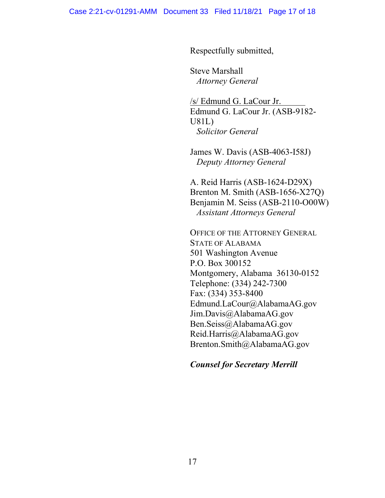Respectfully submitted,

Steve Marshall Attorney General

/s/ Edmund G. LaCour Jr. Edmund G. LaCour Jr. (ASB-9182- U81L) Solicitor General

James W. Davis (ASB-4063-I58J) Deputy Attorney General

A. Reid Harris (ASB-1624-D29X) Brenton M. Smith (ASB-1656-X27Q) Benjamin M. Seiss (ASB-2110-O00W) Assistant Attorneys General

OFFICE OF THE ATTORNEY GENERAL STATE OF ALABAMA 501 Washington Avenue P.O. Box 300152 Montgomery, Alabama 36130-0152 Telephone: (334) 242-7300 Fax: (334) 353-8400 Edmund.LaCour@AlabamaAG.gov Jim.Davis@AlabamaAG.gov Ben.Seiss@AlabamaAG.gov Reid.Harris@AlabamaAG.gov Brenton.Smith@AlabamaAG.gov

## Counsel for Secretary Merrill